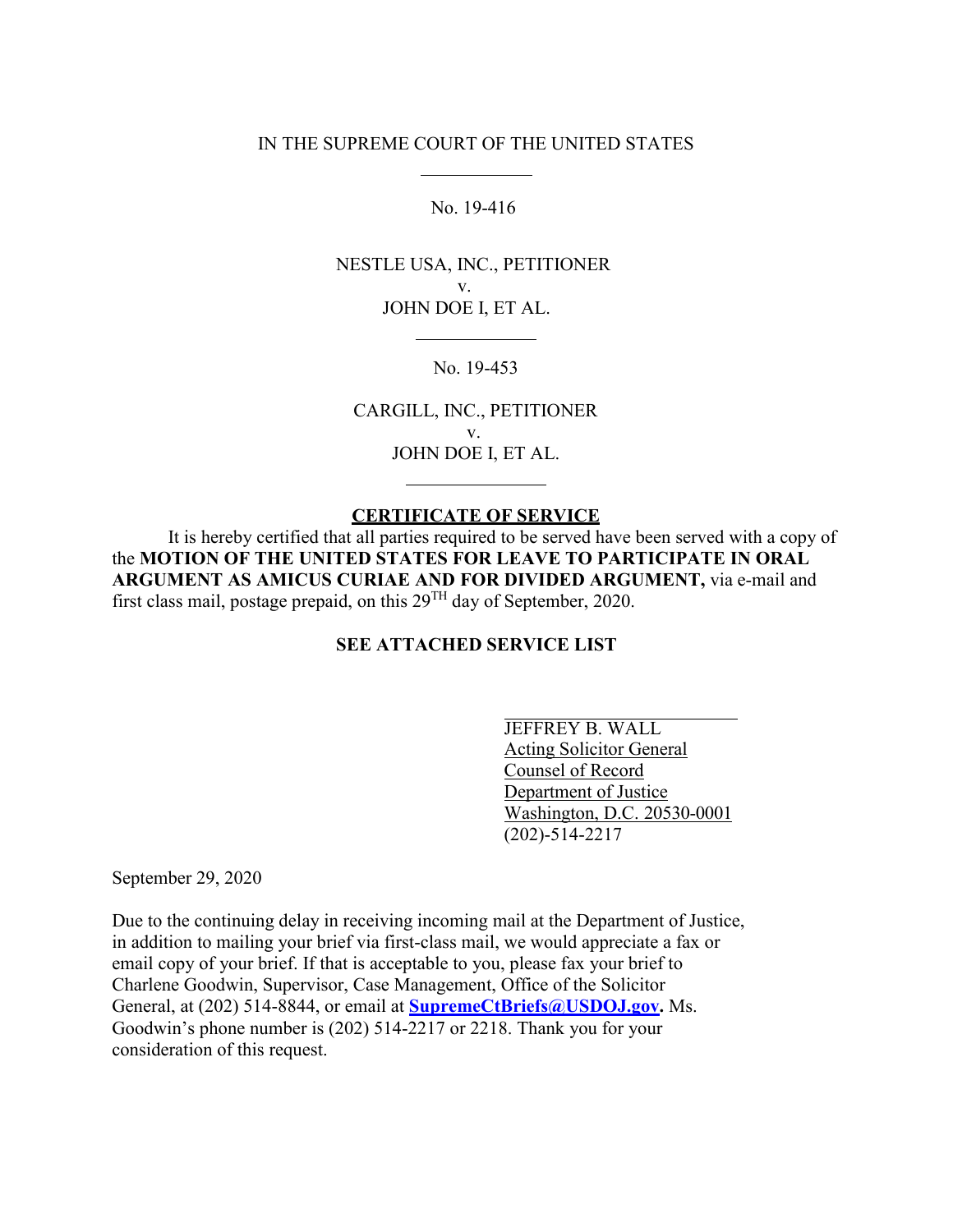## IN THE SUPREME COURT OF THE UNITED STATES

No. 19-416

NESTLE USA, INC., PETITIONER v. JOHN DOE I, ET AL.

No. 19-453

CARGILL, INC., PETITIONER v. JOHN DOE I, ET AL.

## **CERTIFICATE OF SERVICE**

It is hereby certified that all parties required to be served have been served with a copy of the **MOTION OF THE UNITED STATES FOR LEAVE TO PARTICIPATE IN ORAL ARGUMENT AS AMICUS CURIAE AND FOR DIVIDED ARGUMENT,** via e-mail and first class mail, postage prepaid, on this  $29<sup>TH</sup>$  day of September, 2020.

## **SEE ATTACHED SERVICE LIST**

JEFFREY B. WALL Acting Solicitor General Counsel of Record Department of Justice Washington, D.C. 20530-0001 (202)-514-2217

September 29, 2020

Due to the continuing delay in receiving incoming mail at the Department of Justice, in addition to mailing your brief via first-class mail, we would appreciate a fax or email copy of your brief. If that is acceptable to you, please fax your brief to Charlene Goodwin, Supervisor, Case Management, Office of the Solicitor General, at (202) 514-8844, or email at **[SupremeCtBriefs@USDOJ.gov.](mailto:SupremeCtBriefs@USDOJ.gov)** Ms. Goodwin's phone number is (202) 514-2217 or 2218. Thank you for your consideration of this request.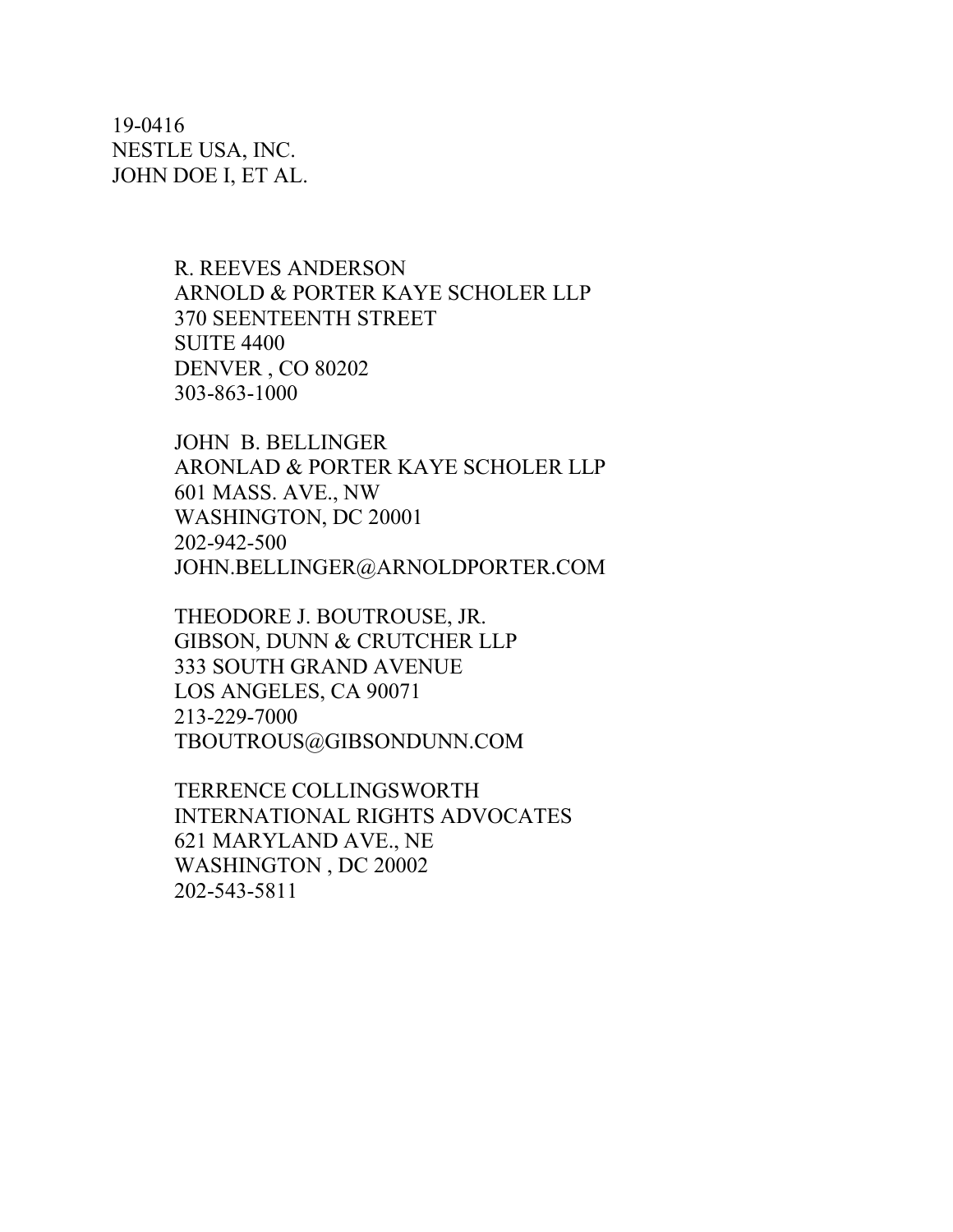19-0416 NESTLE USA, INC. JOHN DOE I, ET AL.

> R. REEVES ANDERSON ARNOLD & PORTER KAYE SCHOLER LLP 370 SEENTEENTH STREET SUITE 4400 DENVER , CO 80202 303-863-1000

JOHN B. BELLINGER ARONLAD & PORTER KAYE SCHOLER LLP 601 MASS. AVE., NW WASHINGTON, DC 20001 202-942-500 [JOHN.BELLINGER@ARNOLDPORTER.COM](mailto:JOHN.BELLINGER@ARNOLDPORTER.COM)

THEODORE J. BOUTROUSE, JR. GIBSON, DUNN & CRUTCHER LLP 333 SOUTH GRAND AVENUE LOS ANGELES, CA 90071 213-229-7000 [TBOUTROUS@GIBSONDUNN.COM](mailto:TBOUTROUS@GIBSONDUNN.COM)

TERRENCE COLLINGSWORTH INTERNATIONAL RIGHTS ADVOCATES 621 MARYLAND AVE., NE WASHINGTON , DC 20002 202-543-5811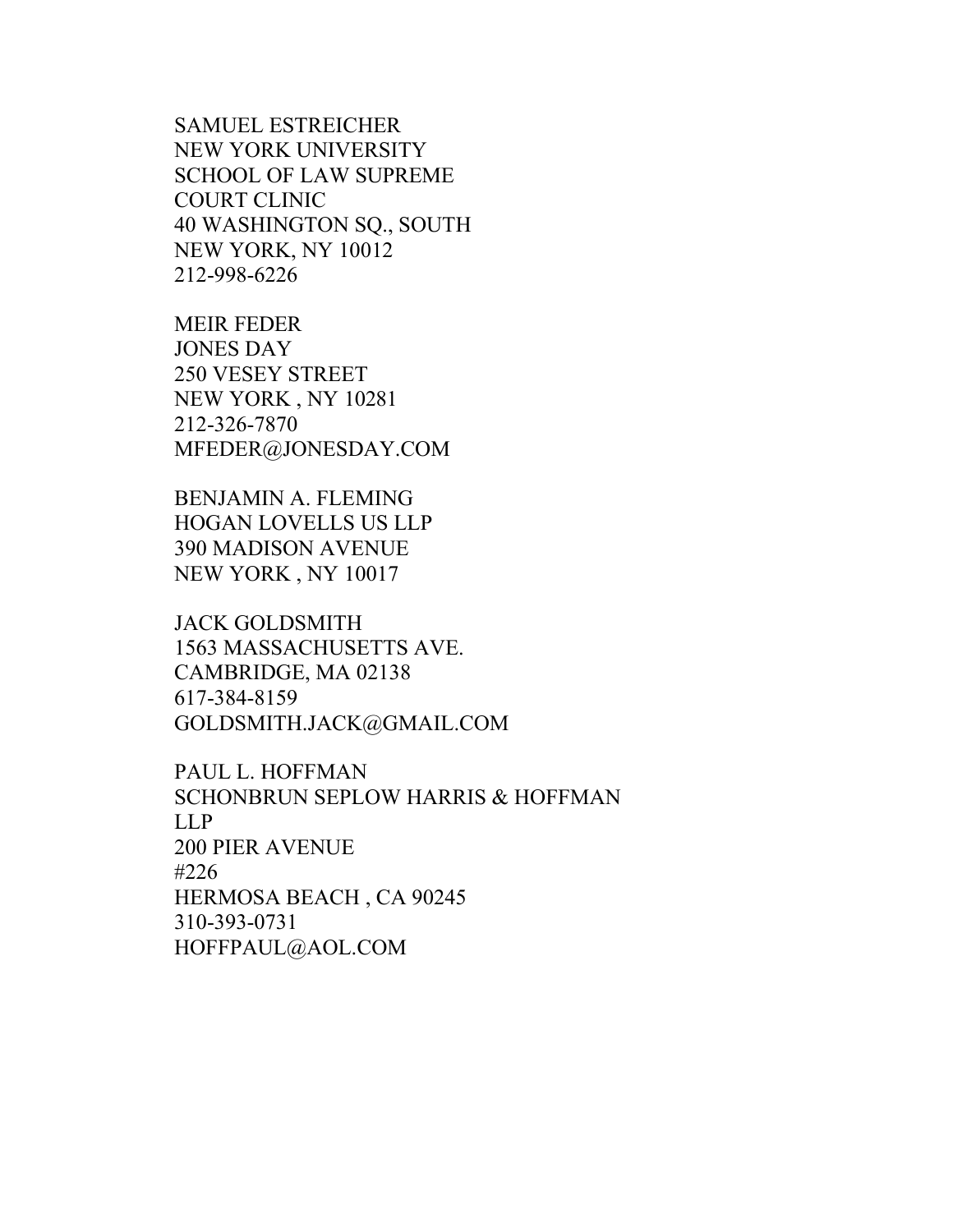SAMUEL ESTREICHER NEW YORK UNIVERSITY SCHOOL OF LAW SUPREME COURT CLINIC 40 WASHINGTON SQ., SOUTH NEW YORK, NY 10012 212-998-6226

MEIR FEDER JONES DAY 250 VESEY STREET NEW YORK , NY 10281 212-326-7870 [MFEDER@JONESDAY.COM](mailto:MFEDER@JONESDAY.COM)

BENJAMIN A. FLEMING HOGAN LOVELLS US LLP 390 MADISON AVENUE NEW YORK , NY 10017

JACK GOLDSMITH 1563 MASSACHUSETTS AVE. CAMBRIDGE, MA 02138 617-384-8159 [GOLDSMITH.JACK@GMAIL.COM](mailto:GOLDSMITH.JACK@GMAIL.COM)

PAUL L. HOFFMAN SCHONBRUN SEPLOW HARRIS & HOFFMAN LLP 200 PIER AVENUE #226 HERMOSA BEACH , CA 90245 310-393-0731 [HOFFPAUL@AOL.COM](mailto:HOFFPAUL@AOL.COM)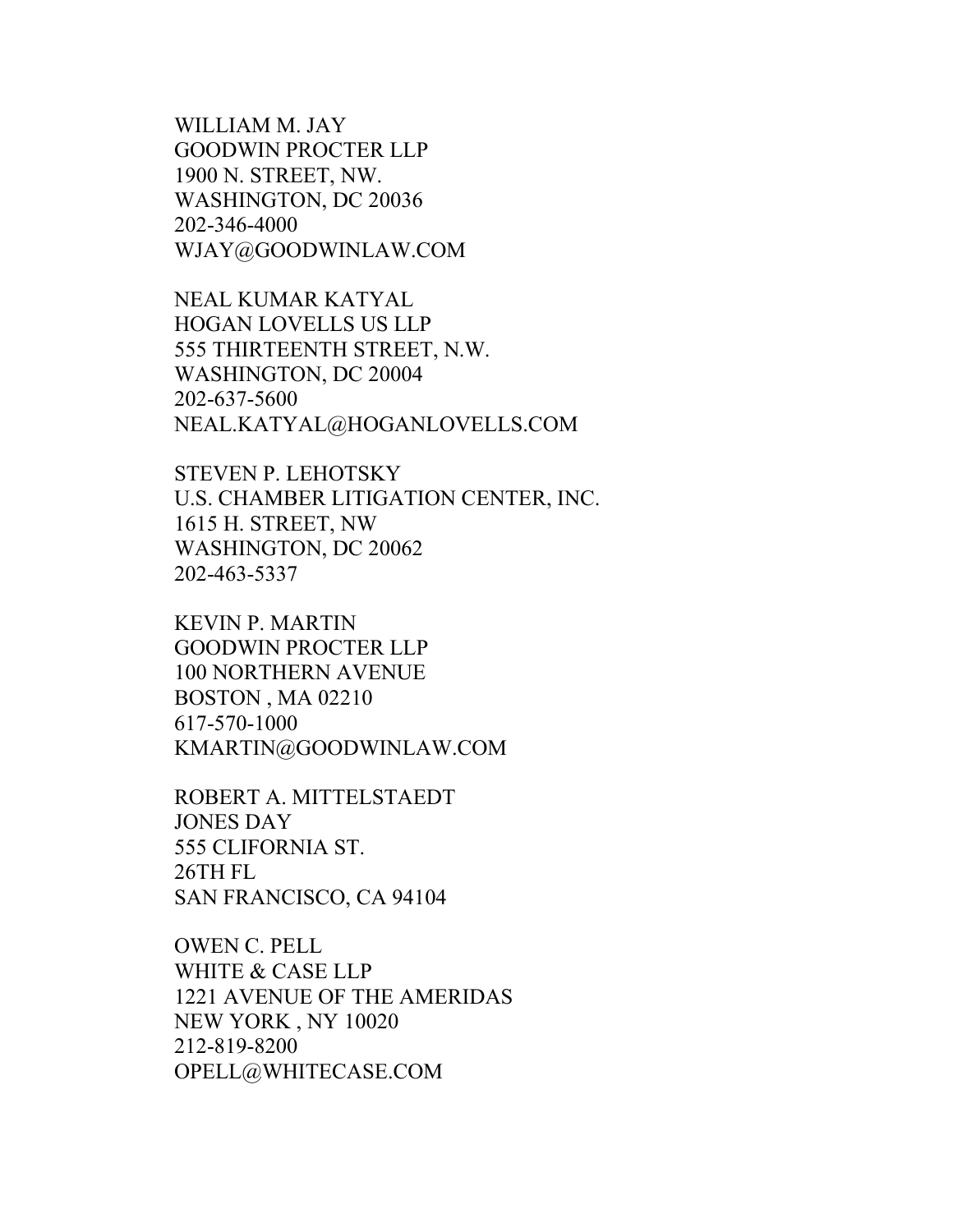WILLIAM M. JAY GOODWIN PROCTER LLP 1900 N. STREET, NW. WASHINGTON, DC 20036 202-346-4000 [WJAY@GOODWINLAW.COM](mailto:WJAY@GOODWINLAW.COM)

NEAL KUMAR KATYAL HOGAN LOVELLS US LLP 555 THIRTEENTH STREET, N.W. WASHINGTON, DC 20004 202-637-5600 [NEAL.KATYAL@HOGANLOVELLS.COM](mailto:NEAL.KATYAL@HOGANLOVELLS.COM)

STEVEN P. LEHOTSKY U.S. CHAMBER LITIGATION CENTER, INC. 1615 H. STREET, NW WASHINGTON, DC 20062 202-463-5337

KEVIN P. MARTIN GOODWIN PROCTER LLP 100 NORTHERN AVENUE BOSTON , MA 02210 617-570-1000 [KMARTIN@GOODWINLAW.COM](mailto:KMARTIN@GOODWINLAW.COM)

ROBERT A. MITTELSTAEDT JONES DAY 555 CLIFORNIA ST. 26TH FL SAN FRANCISCO, CA 94104

OWEN C. PELL WHITE & CASE LLP 1221 AVENUE OF THE AMERIDAS NEW YORK , NY 10020 212-819-8200 [OPELL@WHITECASE.COM](mailto:OPELL@WHITECASE.COM)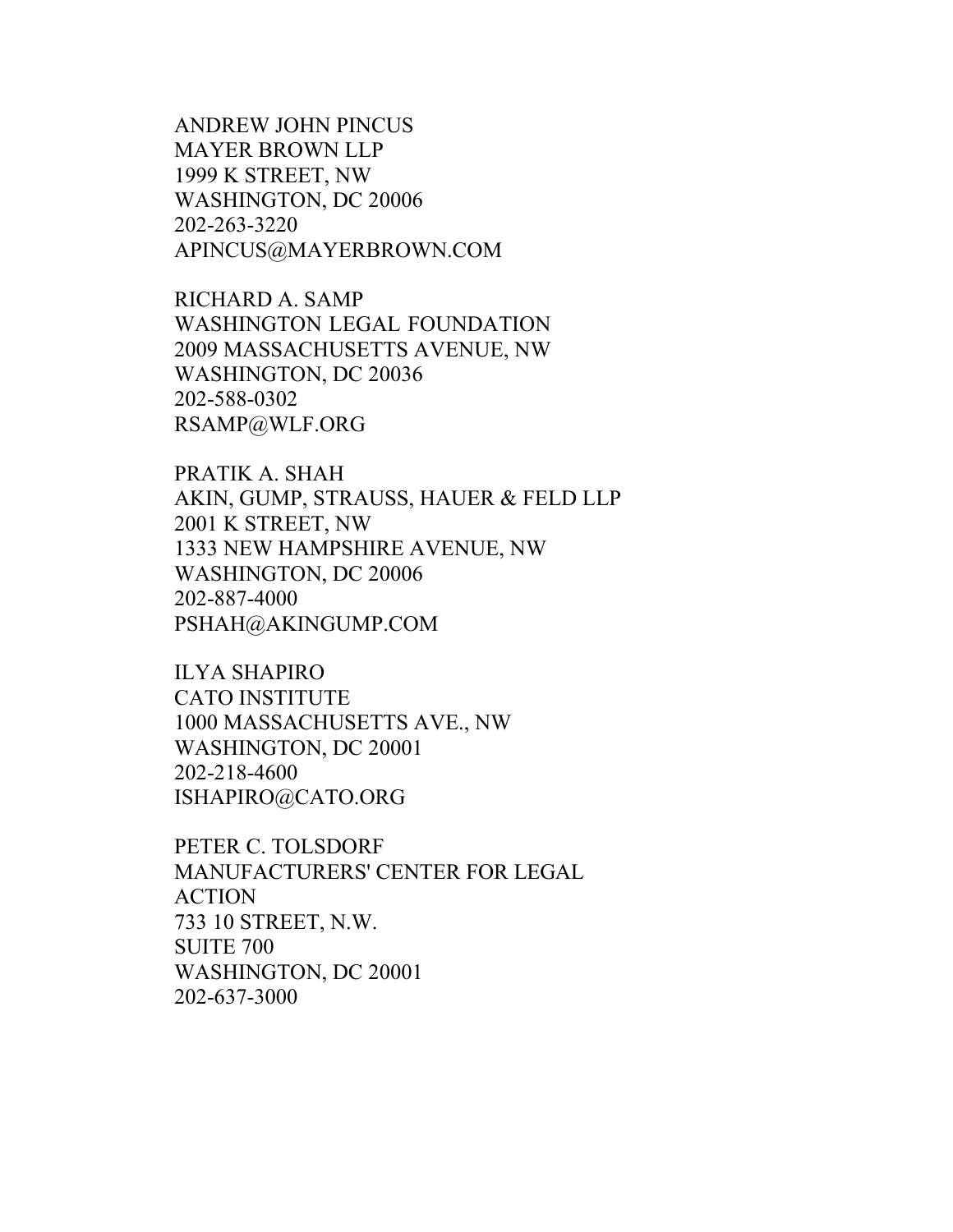ANDREW JOHN PINCUS MAYER BROWN LLP 1999 K STREET, NW WASHINGTON, DC 20006 202-263-3220 [APINCUS@MAYERBROWN.COM](mailto:APINCUS@MAYERBROWN.COM)

RICHARD A. SAMP WASHINGTON LEGAL FOUNDATION 2009 MASSACHUSETTS AVENUE, NW WASHINGTON, DC 20036 202-588-0302 [RSAMP@WLF.ORG](mailto:RSAMP@WLF.ORG)

PRATIK A. SHAH AKIN, GUMP, STRAUSS, HAUER & FELD LLP 2001 K STREET, NW 1333 NEW HAMPSHIRE AVENUE, NW WASHINGTON, DC 20006 202-887-4000 [PSHAH@AKINGUMP.COM](mailto:PSHAH@AKINGUMP.COM)

ILYA SHAPIRO CATO INSTITUTE 1000 MASSACHUSETTS AVE., NW WASHINGTON, DC 20001 202-218-4600 [ISHAPIRO@CATO.ORG](mailto:ISHAPIRO@CATO.ORG)

PETER C. TOLSDORF MANUFACTURERS' CENTER FOR LEGAL ACTION 733 10 STREET, N.W. SUITE 700 WASHINGTON, DC 20001 202-637-3000